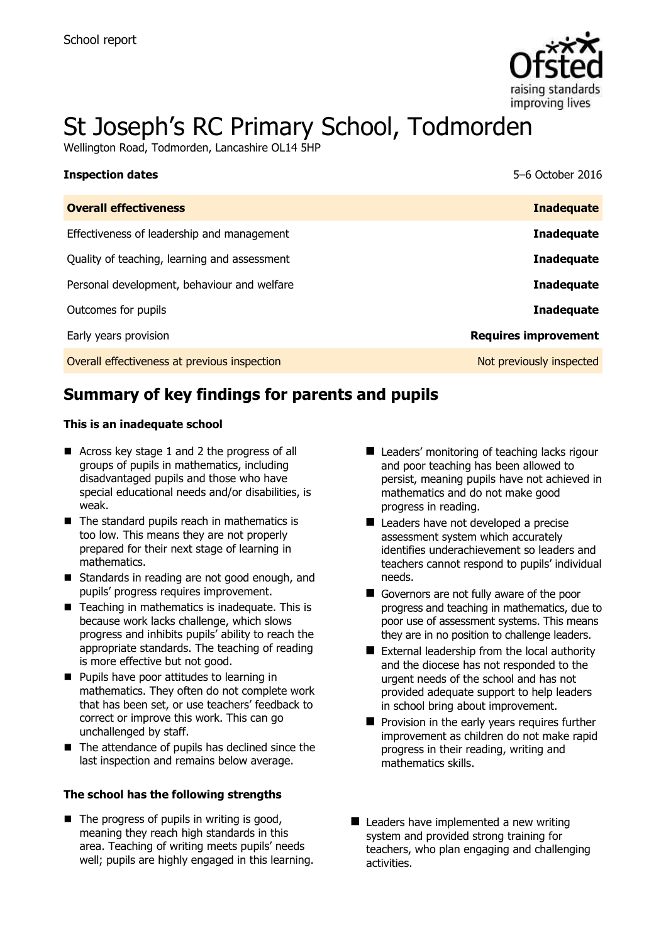

# St Joseph's RC Primary School, Todmorden

Wellington Road, Todmorden, Lancashire OL14 5HP

| <b>Inspection dates</b>                      | 5–6 October 2016            |
|----------------------------------------------|-----------------------------|
| <b>Overall effectiveness</b>                 | <b>Inadequate</b>           |
| Effectiveness of leadership and management   | <b>Inadequate</b>           |
| Quality of teaching, learning and assessment | <b>Inadequate</b>           |
| Personal development, behaviour and welfare  | <b>Inadequate</b>           |
| Outcomes for pupils                          | <b>Inadequate</b>           |
| Early years provision                        | <b>Requires improvement</b> |
| Overall effectiveness at previous inspection | Not previously inspected    |

# **Summary of key findings for parents and pupils**

### **This is an inadequate school**

- Across key stage 1 and 2 the progress of all groups of pupils in mathematics, including disadvantaged pupils and those who have special educational needs and/or disabilities, is weak.
- $\blacksquare$  The standard pupils reach in mathematics is too low. This means they are not properly prepared for their next stage of learning in mathematics.
- Standards in reading are not good enough, and pupils' progress requires improvement.
- $\blacksquare$  Teaching in mathematics is inadequate. This is because work lacks challenge, which slows progress and inhibits pupils' ability to reach the appropriate standards. The teaching of reading is more effective but not good.
- **Pupils have poor attitudes to learning in** mathematics. They often do not complete work that has been set, or use teachers' feedback to correct or improve this work. This can go unchallenged by staff.
- $\blacksquare$  The attendance of pupils has declined since the last inspection and remains below average.

### **The school has the following strengths**

 $\blacksquare$  The progress of pupils in writing is good, meaning they reach high standards in this area. Teaching of writing meets pupils' needs well; pupils are highly engaged in this learning.

- Leaders' monitoring of teaching lacks rigour and poor teaching has been allowed to persist, meaning pupils have not achieved in mathematics and do not make good progress in reading.
- Leaders have not developed a precise assessment system which accurately identifies underachievement so leaders and teachers cannot respond to pupils' individual needs.
- Governors are not fully aware of the poor progress and teaching in mathematics, due to poor use of assessment systems. This means they are in no position to challenge leaders.
- External leadership from the local authority and the diocese has not responded to the urgent needs of the school and has not provided adequate support to help leaders in school bring about improvement.
- $\blacksquare$  Provision in the early years requires further improvement as children do not make rapid progress in their reading, writing and mathematics skills.
- Leaders have implemented a new writing system and provided strong training for teachers, who plan engaging and challenging activities.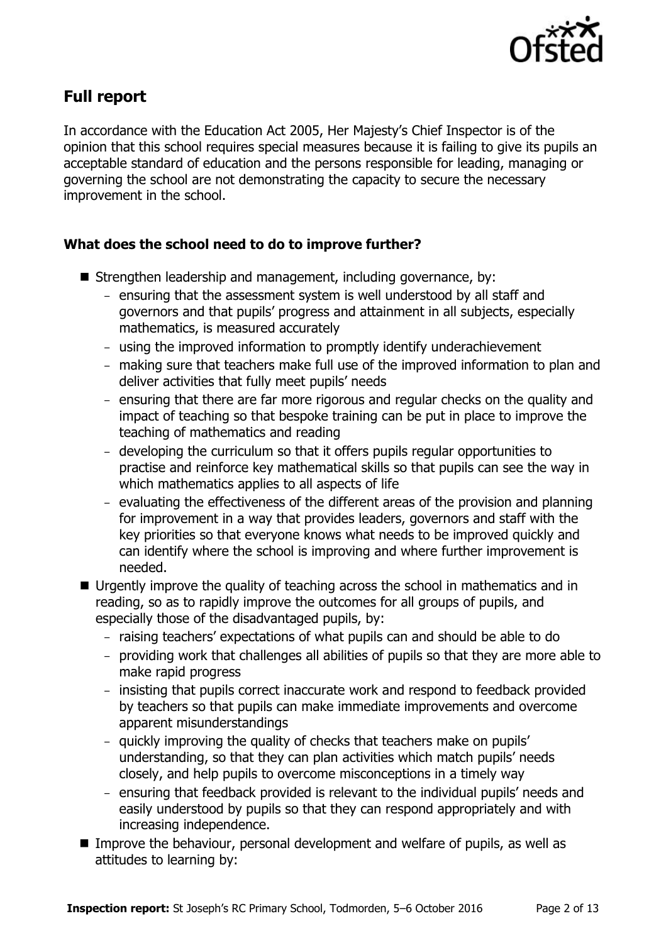

# **Full report**

In accordance with the Education Act 2005, Her Majesty's Chief Inspector is of the opinion that this school requires special measures because it is failing to give its pupils an acceptable standard of education and the persons responsible for leading, managing or governing the school are not demonstrating the capacity to secure the necessary improvement in the school.

# **What does the school need to do to improve further?**

- Strengthen leadership and management, including governance, by:
	- ensuring that the assessment system is well understood by all staff and governors and that pupils' progress and attainment in all subjects, especially mathematics, is measured accurately
	- using the improved information to promptly identify underachievement
	- making sure that teachers make full use of the improved information to plan and deliver activities that fully meet pupils' needs
	- ensuring that there are far more rigorous and regular checks on the quality and impact of teaching so that bespoke training can be put in place to improve the teaching of mathematics and reading
	- developing the curriculum so that it offers pupils regular opportunities to practise and reinforce key mathematical skills so that pupils can see the way in which mathematics applies to all aspects of life
	- evaluating the effectiveness of the different areas of the provision and planning for improvement in a way that provides leaders, governors and staff with the key priorities so that everyone knows what needs to be improved quickly and can identify where the school is improving and where further improvement is needed.
- Urgently improve the quality of teaching across the school in mathematics and in reading, so as to rapidly improve the outcomes for all groups of pupils, and especially those of the disadvantaged pupils, by:
	- raising teachers' expectations of what pupils can and should be able to do
	- providing work that challenges all abilities of pupils so that they are more able to make rapid progress
	- insisting that pupils correct inaccurate work and respond to feedback provided by teachers so that pupils can make immediate improvements and overcome apparent misunderstandings
	- quickly improving the quality of checks that teachers make on pupils' understanding, so that they can plan activities which match pupils' needs closely, and help pupils to overcome misconceptions in a timely way
	- ensuring that feedback provided is relevant to the individual pupils' needs and easily understood by pupils so that they can respond appropriately and with increasing independence.
- Improve the behaviour, personal development and welfare of pupils, as well as attitudes to learning by: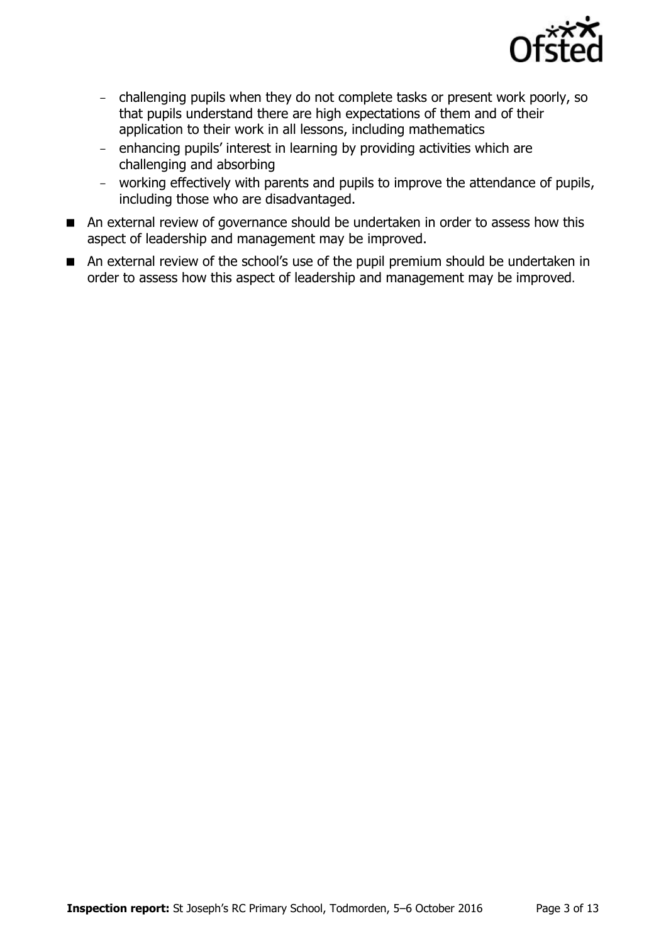

- challenging pupils when they do not complete tasks or present work poorly, so that pupils understand there are high expectations of them and of their application to their work in all lessons, including mathematics
- enhancing pupils' interest in learning by providing activities which are challenging and absorbing
- working effectively with parents and pupils to improve the attendance of pupils, including those who are disadvantaged.
- An external review of governance should be undertaken in order to assess how this aspect of leadership and management may be improved.
- An external review of the school's use of the pupil premium should be undertaken in order to assess how this aspect of leadership and management may be improved.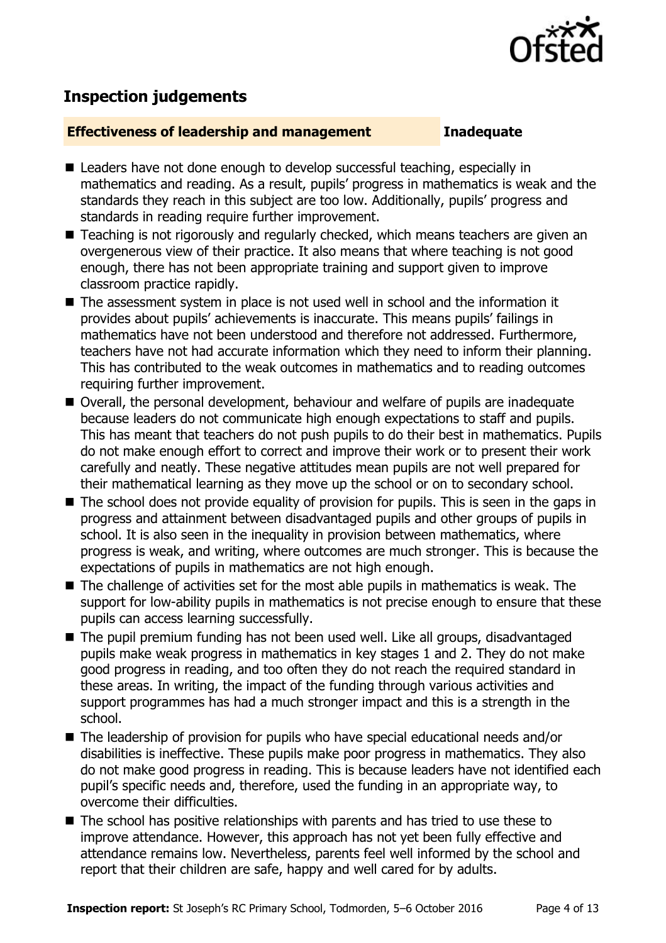

# **Inspection judgements**

### **Effectiveness of leadership and management Inadequate**

- Leaders have not done enough to develop successful teaching, especially in mathematics and reading. As a result, pupils' progress in mathematics is weak and the standards they reach in this subject are too low. Additionally, pupils' progress and standards in reading require further improvement.
- Teaching is not rigorously and regularly checked, which means teachers are given an overgenerous view of their practice. It also means that where teaching is not good enough, there has not been appropriate training and support given to improve classroom practice rapidly.
- The assessment system in place is not used well in school and the information it provides about pupils' achievements is inaccurate. This means pupils' failings in mathematics have not been understood and therefore not addressed. Furthermore, teachers have not had accurate information which they need to inform their planning. This has contributed to the weak outcomes in mathematics and to reading outcomes requiring further improvement.
- Overall, the personal development, behaviour and welfare of pupils are inadequate because leaders do not communicate high enough expectations to staff and pupils. This has meant that teachers do not push pupils to do their best in mathematics. Pupils do not make enough effort to correct and improve their work or to present their work carefully and neatly. These negative attitudes mean pupils are not well prepared for their mathematical learning as they move up the school or on to secondary school.
- The school does not provide equality of provision for pupils. This is seen in the gaps in progress and attainment between disadvantaged pupils and other groups of pupils in school. It is also seen in the inequality in provision between mathematics, where progress is weak, and writing, where outcomes are much stronger. This is because the expectations of pupils in mathematics are not high enough.
- $\blacksquare$  The challenge of activities set for the most able pupils in mathematics is weak. The support for low-ability pupils in mathematics is not precise enough to ensure that these pupils can access learning successfully.
- The pupil premium funding has not been used well. Like all groups, disadvantaged pupils make weak progress in mathematics in key stages 1 and 2. They do not make good progress in reading, and too often they do not reach the required standard in these areas. In writing, the impact of the funding through various activities and support programmes has had a much stronger impact and this is a strength in the school.
- The leadership of provision for pupils who have special educational needs and/or disabilities is ineffective. These pupils make poor progress in mathematics. They also do not make good progress in reading. This is because leaders have not identified each pupil's specific needs and, therefore, used the funding in an appropriate way, to overcome their difficulties.
- The school has positive relationships with parents and has tried to use these to improve attendance. However, this approach has not yet been fully effective and attendance remains low. Nevertheless, parents feel well informed by the school and report that their children are safe, happy and well cared for by adults.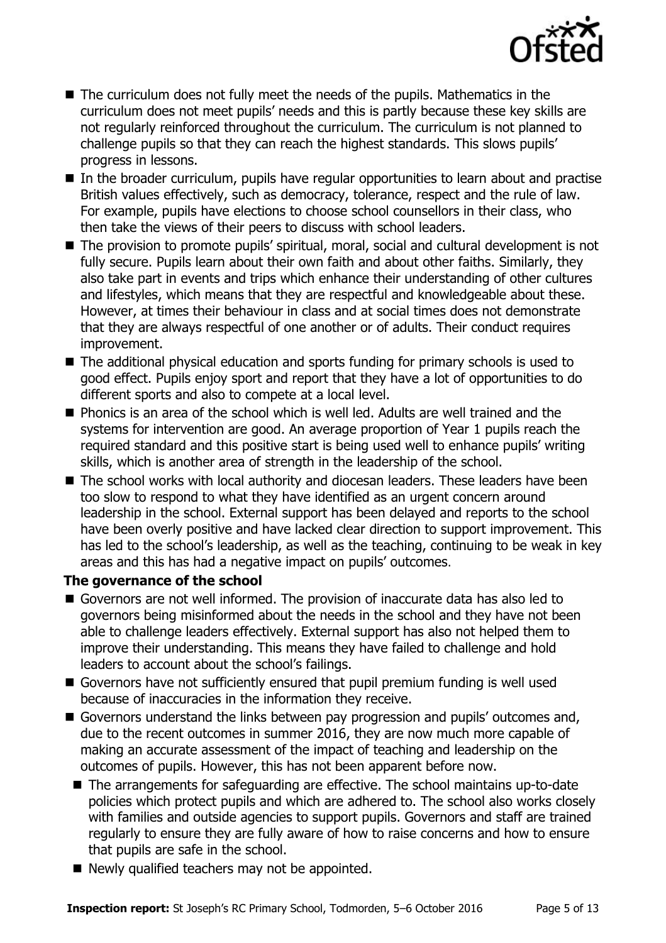

- The curriculum does not fully meet the needs of the pupils. Mathematics in the curriculum does not meet pupils' needs and this is partly because these key skills are not regularly reinforced throughout the curriculum. The curriculum is not planned to challenge pupils so that they can reach the highest standards. This slows pupils' progress in lessons.
- In the broader curriculum, pupils have regular opportunities to learn about and practise British values effectively, such as democracy, tolerance, respect and the rule of law. For example, pupils have elections to choose school counsellors in their class, who then take the views of their peers to discuss with school leaders.
- The provision to promote pupils' spiritual, moral, social and cultural development is not fully secure. Pupils learn about their own faith and about other faiths. Similarly, they also take part in events and trips which enhance their understanding of other cultures and lifestyles, which means that they are respectful and knowledgeable about these. However, at times their behaviour in class and at social times does not demonstrate that they are always respectful of one another or of adults. Their conduct requires improvement.
- The additional physical education and sports funding for primary schools is used to good effect. Pupils enjoy sport and report that they have a lot of opportunities to do different sports and also to compete at a local level.
- **Phonics is an area of the school which is well led. Adults are well trained and the** systems for intervention are good. An average proportion of Year 1 pupils reach the required standard and this positive start is being used well to enhance pupils' writing skills, which is another area of strength in the leadership of the school.
- The school works with local authority and diocesan leaders. These leaders have been too slow to respond to what they have identified as an urgent concern around leadership in the school. External support has been delayed and reports to the school have been overly positive and have lacked clear direction to support improvement. This has led to the school's leadership, as well as the teaching, continuing to be weak in key areas and this has had a negative impact on pupils' outcomes.

# **The governance of the school**

- Governors are not well informed. The provision of inaccurate data has also led to governors being misinformed about the needs in the school and they have not been able to challenge leaders effectively. External support has also not helped them to improve their understanding. This means they have failed to challenge and hold leaders to account about the school's failings.
- Governors have not sufficiently ensured that pupil premium funding is well used because of inaccuracies in the information they receive.
- Governors understand the links between pay progression and pupils' outcomes and, due to the recent outcomes in summer 2016, they are now much more capable of making an accurate assessment of the impact of teaching and leadership on the outcomes of pupils. However, this has not been apparent before now.
- The arrangements for safeguarding are effective. The school maintains up-to-date policies which protect pupils and which are adhered to. The school also works closely with families and outside agencies to support pupils. Governors and staff are trained regularly to ensure they are fully aware of how to raise concerns and how to ensure that pupils are safe in the school.
- Newly qualified teachers may not be appointed.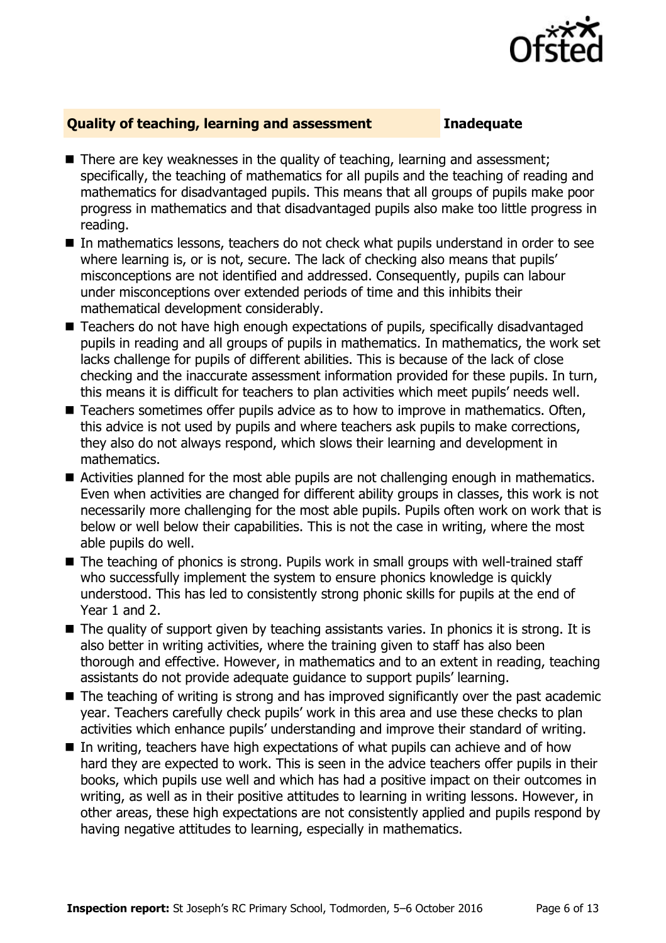

# **Quality of teaching, learning and assessment Inadequate**

- There are key weaknesses in the quality of teaching, learning and assessment; specifically, the teaching of mathematics for all pupils and the teaching of reading and mathematics for disadvantaged pupils. This means that all groups of pupils make poor progress in mathematics and that disadvantaged pupils also make too little progress in reading.
- In mathematics lessons, teachers do not check what pupils understand in order to see where learning is, or is not, secure. The lack of checking also means that pupils' misconceptions are not identified and addressed. Consequently, pupils can labour under misconceptions over extended periods of time and this inhibits their mathematical development considerably.
- Teachers do not have high enough expectations of pupils, specifically disadvantaged pupils in reading and all groups of pupils in mathematics. In mathematics, the work set lacks challenge for pupils of different abilities. This is because of the lack of close checking and the inaccurate assessment information provided for these pupils. In turn, this means it is difficult for teachers to plan activities which meet pupils' needs well.
- Teachers sometimes offer pupils advice as to how to improve in mathematics. Often, this advice is not used by pupils and where teachers ask pupils to make corrections, they also do not always respond, which slows their learning and development in mathematics.
- Activities planned for the most able pupils are not challenging enough in mathematics. Even when activities are changed for different ability groups in classes, this work is not necessarily more challenging for the most able pupils. Pupils often work on work that is below or well below their capabilities. This is not the case in writing, where the most able pupils do well.
- The teaching of phonics is strong. Pupils work in small groups with well-trained staff who successfully implement the system to ensure phonics knowledge is quickly understood. This has led to consistently strong phonic skills for pupils at the end of Year 1 and 2.
- $\blacksquare$  The quality of support given by teaching assistants varies. In phonics it is strong. It is also better in writing activities, where the training given to staff has also been thorough and effective. However, in mathematics and to an extent in reading, teaching assistants do not provide adequate guidance to support pupils' learning.
- The teaching of writing is strong and has improved significantly over the past academic year. Teachers carefully check pupils' work in this area and use these checks to plan activities which enhance pupils' understanding and improve their standard of writing.
- In writing, teachers have high expectations of what pupils can achieve and of how hard they are expected to work. This is seen in the advice teachers offer pupils in their books, which pupils use well and which has had a positive impact on their outcomes in writing, as well as in their positive attitudes to learning in writing lessons. However, in other areas, these high expectations are not consistently applied and pupils respond by having negative attitudes to learning, especially in mathematics.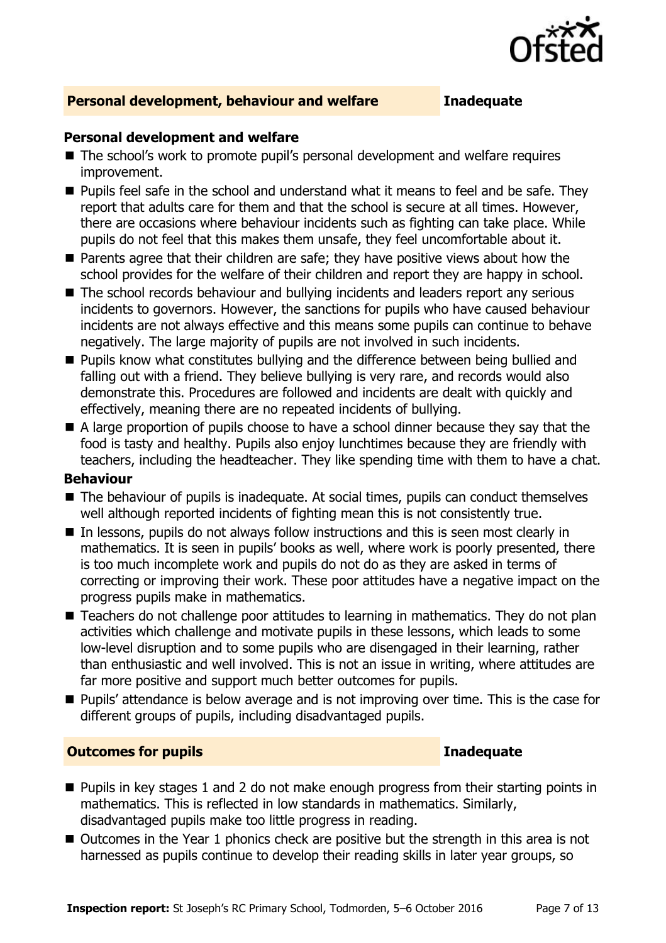

# **Personal development, behaviour and welfare Inadequate**

### **Personal development and welfare**

- The school's work to promote pupil's personal development and welfare requires improvement.
- **Pupils feel safe in the school and understand what it means to feel and be safe. They** report that adults care for them and that the school is secure at all times. However, there are occasions where behaviour incidents such as fighting can take place. While pupils do not feel that this makes them unsafe, they feel uncomfortable about it.
- **Parents agree that their children are safe; they have positive views about how the** school provides for the welfare of their children and report they are happy in school.
- The school records behaviour and bullying incidents and leaders report any serious incidents to governors. However, the sanctions for pupils who have caused behaviour incidents are not always effective and this means some pupils can continue to behave negatively. The large majority of pupils are not involved in such incidents.
- **Pupils know what constitutes bullying and the difference between being bullied and** falling out with a friend. They believe bullying is very rare, and records would also demonstrate this. Procedures are followed and incidents are dealt with quickly and effectively, meaning there are no repeated incidents of bullying.
- A large proportion of pupils choose to have a school dinner because they say that the food is tasty and healthy. Pupils also enjoy lunchtimes because they are friendly with teachers, including the headteacher. They like spending time with them to have a chat.

# **Behaviour**

- The behaviour of pupils is inadequate. At social times, pupils can conduct themselves well although reported incidents of fighting mean this is not consistently true.
- In lessons, pupils do not always follow instructions and this is seen most clearly in mathematics. It is seen in pupils' books as well, where work is poorly presented, there is too much incomplete work and pupils do not do as they are asked in terms of correcting or improving their work. These poor attitudes have a negative impact on the progress pupils make in mathematics.
- Teachers do not challenge poor attitudes to learning in mathematics. They do not plan activities which challenge and motivate pupils in these lessons, which leads to some low-level disruption and to some pupils who are disengaged in their learning, rather than enthusiastic and well involved. This is not an issue in writing, where attitudes are far more positive and support much better outcomes for pupils.
- **Pupils' attendance is below average and is not improving over time. This is the case for** different groups of pupils, including disadvantaged pupils.

# **Outcomes for pupils <b>Inadequate Inadequate Inadequate**

- $\blacksquare$  Pupils in key stages 1 and 2 do not make enough progress from their starting points in mathematics. This is reflected in low standards in mathematics. Similarly, disadvantaged pupils make too little progress in reading.
- $\blacksquare$  Outcomes in the Year 1 phonics check are positive but the strength in this area is not harnessed as pupils continue to develop their reading skills in later year groups, so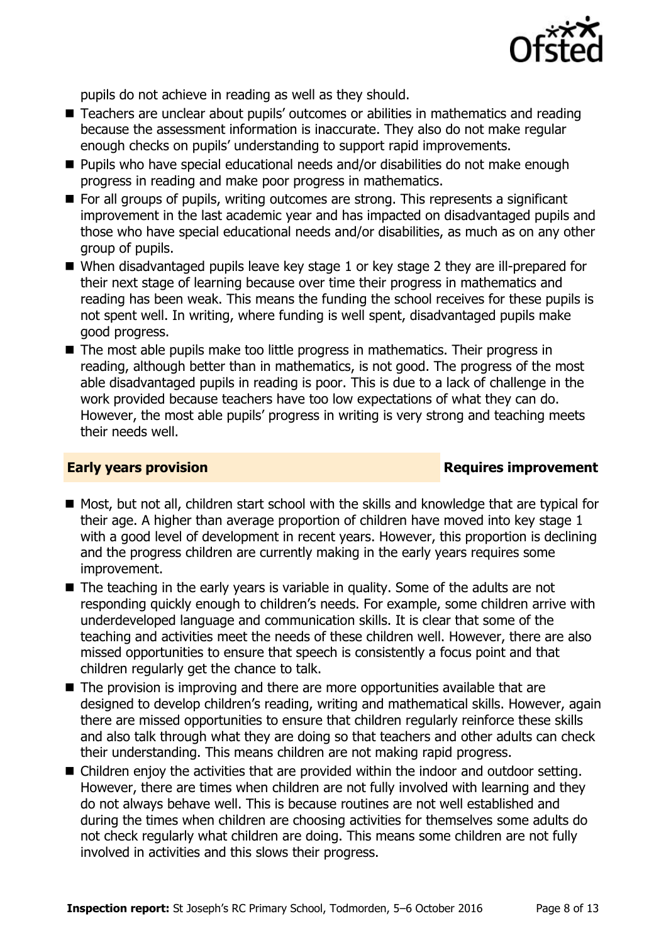

pupils do not achieve in reading as well as they should.

- Teachers are unclear about pupils' outcomes or abilities in mathematics and reading because the assessment information is inaccurate. They also do not make regular enough checks on pupils' understanding to support rapid improvements.
- Pupils who have special educational needs and/or disabilities do not make enough progress in reading and make poor progress in mathematics.
- For all groups of pupils, writing outcomes are strong. This represents a significant improvement in the last academic year and has impacted on disadvantaged pupils and those who have special educational needs and/or disabilities, as much as on any other group of pupils.
- When disadvantaged pupils leave key stage 1 or key stage 2 they are ill-prepared for their next stage of learning because over time their progress in mathematics and reading has been weak. This means the funding the school receives for these pupils is not spent well. In writing, where funding is well spent, disadvantaged pupils make good progress.
- The most able pupils make too little progress in mathematics. Their progress in reading, although better than in mathematics, is not good. The progress of the most able disadvantaged pupils in reading is poor. This is due to a lack of challenge in the work provided because teachers have too low expectations of what they can do. However, the most able pupils' progress in writing is very strong and teaching meets their needs well.

# **Early years provision Requires improvement**

- Most, but not all, children start school with the skills and knowledge that are typical for their age. A higher than average proportion of children have moved into key stage 1 with a good level of development in recent years. However, this proportion is declining and the progress children are currently making in the early years requires some improvement.
- The teaching in the early years is variable in quality. Some of the adults are not responding quickly enough to children's needs. For example, some children arrive with underdeveloped language and communication skills. It is clear that some of the teaching and activities meet the needs of these children well. However, there are also missed opportunities to ensure that speech is consistently a focus point and that children regularly get the chance to talk.
- The provision is improving and there are more opportunities available that are designed to develop children's reading, writing and mathematical skills. However, again there are missed opportunities to ensure that children regularly reinforce these skills and also talk through what they are doing so that teachers and other adults can check their understanding. This means children are not making rapid progress.
- Children enjoy the activities that are provided within the indoor and outdoor setting. However, there are times when children are not fully involved with learning and they do not always behave well. This is because routines are not well established and during the times when children are choosing activities for themselves some adults do not check regularly what children are doing. This means some children are not fully involved in activities and this slows their progress.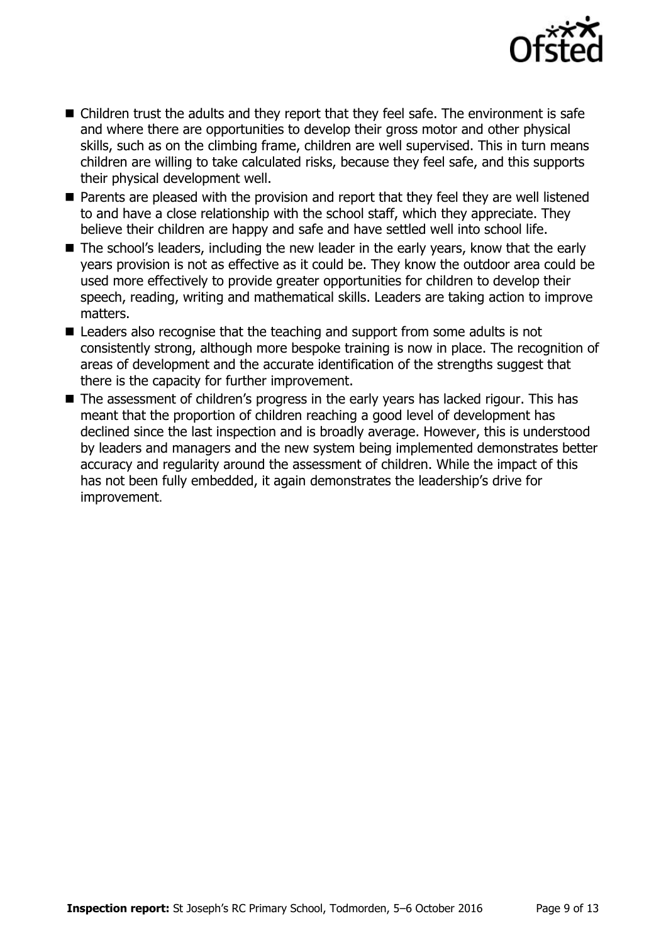

- Children trust the adults and they report that they feel safe. The environment is safe and where there are opportunities to develop their gross motor and other physical skills, such as on the climbing frame, children are well supervised. This in turn means children are willing to take calculated risks, because they feel safe, and this supports their physical development well.
- Parents are pleased with the provision and report that they feel they are well listened to and have a close relationship with the school staff, which they appreciate. They believe their children are happy and safe and have settled well into school life.
- The school's leaders, including the new leader in the early years, know that the early years provision is not as effective as it could be. They know the outdoor area could be used more effectively to provide greater opportunities for children to develop their speech, reading, writing and mathematical skills. Leaders are taking action to improve matters.
- Leaders also recognise that the teaching and support from some adults is not consistently strong, although more bespoke training is now in place. The recognition of areas of development and the accurate identification of the strengths suggest that there is the capacity for further improvement.
- The assessment of children's progress in the early years has lacked rigour. This has meant that the proportion of children reaching a good level of development has declined since the last inspection and is broadly average. However, this is understood by leaders and managers and the new system being implemented demonstrates better accuracy and regularity around the assessment of children. While the impact of this has not been fully embedded, it again demonstrates the leadership's drive for improvement.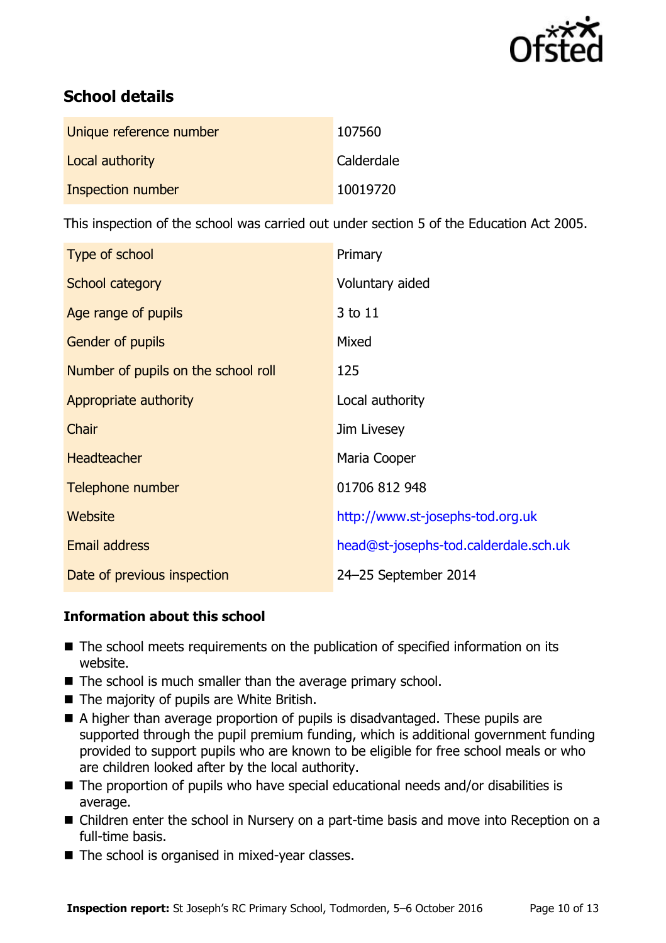

# **School details**

| Unique reference number | 107560     |
|-------------------------|------------|
| Local authority         | Calderdale |
| Inspection number       | 10019720   |

This inspection of the school was carried out under section 5 of the Education Act 2005.

| Type of school                      | Primary                               |
|-------------------------------------|---------------------------------------|
| School category                     | Voluntary aided                       |
| Age range of pupils                 | 3 to 11                               |
| <b>Gender of pupils</b>             | Mixed                                 |
| Number of pupils on the school roll | 125                                   |
| Appropriate authority               | Local authority                       |
| Chair                               | Jim Livesey                           |
| <b>Headteacher</b>                  | Maria Cooper                          |
| Telephone number                    | 01706 812 948                         |
| <b>Website</b>                      | http://www.st-josephs-tod.org.uk      |
| <b>Email address</b>                | head@st-josephs-tod.calderdale.sch.uk |
| Date of previous inspection         | 24-25 September 2014                  |

# **Information about this school**

- The school meets requirements on the publication of specified information on its website.
- The school is much smaller than the average primary school.
- The majority of pupils are White British.
- A higher than average proportion of pupils is disadvantaged. These pupils are supported through the pupil premium funding, which is additional government funding provided to support pupils who are known to be eligible for free school meals or who are children looked after by the local authority.
- The proportion of pupils who have special educational needs and/or disabilities is average.
- Children enter the school in Nursery on a part-time basis and move into Reception on a full-time basis.
- The school is organised in mixed-year classes.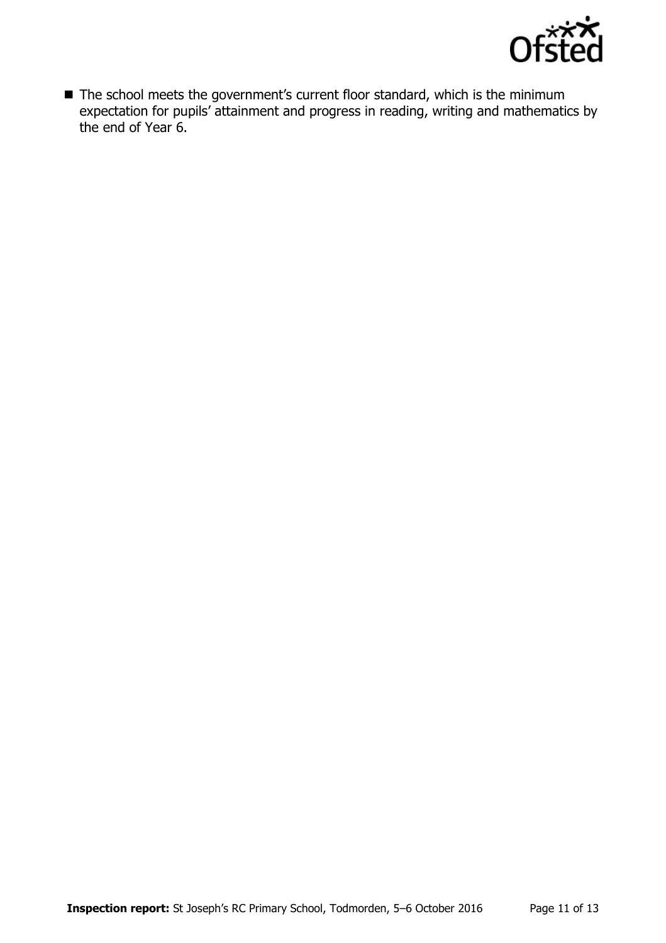

■ The school meets the government's current floor standard, which is the minimum expectation for pupils' attainment and progress in reading, writing and mathematics by the end of Year 6.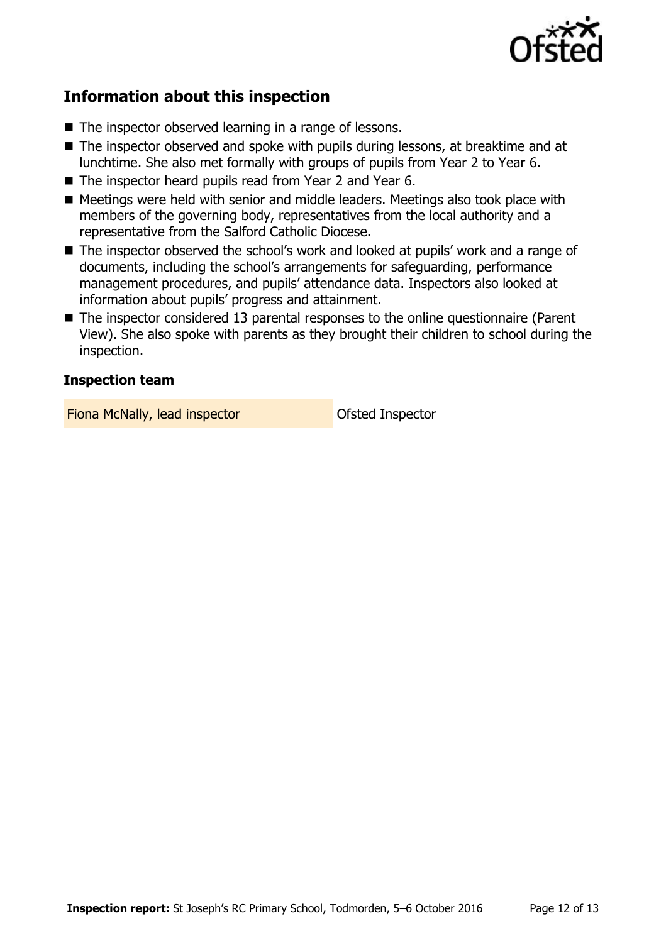

# **Information about this inspection**

- The inspector observed learning in a range of lessons.
- The inspector observed and spoke with pupils during lessons, at breaktime and at lunchtime. She also met formally with groups of pupils from Year 2 to Year 6.
- The inspector heard pupils read from Year 2 and Year 6.
- Meetings were held with senior and middle leaders. Meetings also took place with members of the governing body, representatives from the local authority and a representative from the Salford Catholic Diocese.
- The inspector observed the school's work and looked at pupils' work and a range of documents, including the school's arrangements for safeguarding, performance management procedures, and pupils' attendance data. Inspectors also looked at information about pupils' progress and attainment.
- The inspector considered 13 parental responses to the online questionnaire (Parent View). She also spoke with parents as they brought their children to school during the inspection.

# **Inspection team**

Fiona McNally, lead inspector **Constanting Ofsted Inspector**